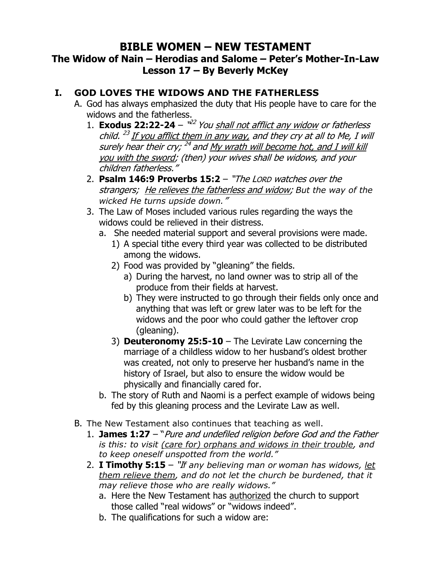# **BIBLE WOMEN – NEW TESTAMENT**

### **The Widow of Nain – Herodias and Salome – Peter's Mother-In-Law Lesson 17 – By Beverly McKey**

#### **I. GOD LOVES THE WIDOWS AND THE FATHERLESS**

- A. God has always emphasized the duty that His people have to care for the widows and the fatherless.
	- 1. **Exodus 22:22-24** " 22 You shall not afflict any widow or fatherless child. <sup>23</sup> If you afflict them in any way, and they cry at all to Me, I will surely hear their cry; <sup>24</sup> and <u>My wrath will become hot, and I will kill</u> you with the sword; (then) your wives shall be widows, and your children fatherless."
	- 2. **Psalm 146:9 Proverbs 15:2** "The LORD watches over the strangers; He relieves the fatherless and widow; *But the way of the wicked He turns upside down.*"
	- 3. The Law of Moses included various rules regarding the ways the widows could be relieved in their distress.
		- a. She needed material support and several provisions were made.
			- 1) A special tithe every third year was collected to be distributed among the widows.
			- 2) Food was provided by "gleaning" the fields.
				- a) During the harvest, no land owner was to strip all of the produce from their fields at harvest.
				- b) They were instructed to go through their fields only once and anything that was left or grew later was to be left for the widows and the poor who could gather the leftover crop (gleaning).
			- 3) **Deuteronomy 25:5-10** The Levirate Law concerning the marriage of a childless widow to her husband's oldest brother was created, not only to preserve her husband's name in the history of Israel, but also to ensure the widow would be physically and financially cared for.
		- b. The story of Ruth and Naomi is a perfect example of widows being fed by this gleaning process and the Levirate Law as well.
- B. The New Testament also continues that teaching as well.
	- 1. **James 1:27** "Pure and undefiled religion before God and the Father *is this: to visit (care for) orphans and widows in their trouble, and to keep oneself unspotted from the world."*
	- 2. **I Timothy 5:15** "I*f any believing man or woman has widows, let them relieve them, and do not let the church be burdened, that it may relieve those who are really widows."*
		- a. Here the New Testament has authorized the church to support those called "real widows" or "widows indeed".
		- b. The qualifications for such a widow are: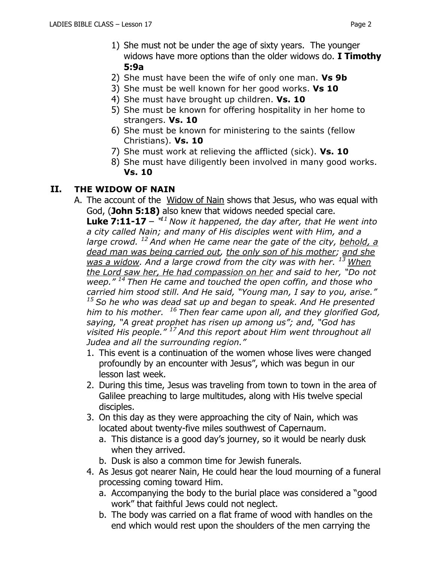- 1) She must not be under the age of sixty years. The younger widows have more options than the older widows do. **I Timothy 5:9a**
- 2) She must have been the wife of only one man. **Vs 9b**
- 3) She must be well known for her good works. **Vs 10**
- 4) She must have brought up children. **Vs. 10**
- 5) She must be known for offering hospitality in her home to strangers. **Vs. 10**
- 6) She must be known for ministering to the saints (fellow Christians). **Vs. 10**
- 7) She must work at relieving the afflicted (sick). **Vs. 10**
- 8) She must have diligently been involved in many good works. **Vs. 10**

#### **II. THE WIDOW OF NAIN**

A. The account of the Widow of Nain shows that Jesus, who was equal with God, (**John 5:18)** also knew that widows needed special care.

**Luke 7:11-17** – " *<sup>11</sup> Now it happened, the day after, that He went into a city called Nain; and many of His disciples went with Him, and a large crowd. <sup>12</sup> And when He came near the gate of the city, behold, a dead man was being carried out, the only son of his mother; and she was a widow. And a large crowd from the city was with her. <sup>13</sup> When the Lord saw her, He had compassion on her and said to her, "Do not weep." <sup>14</sup> Then He came and touched the open coffin, and those who carried him stood still. And He said, "Young man, I say to you, arise." <sup>15</sup> So he who was dead sat up and began to speak. And He presented him to his mother. <sup>16</sup> Then fear came upon all, and they glorified God, saying, "A great prophet has risen up among us"; and, "God has visited His people." <sup>17</sup> And this report about Him went throughout all Judea and all the surrounding region."*

- 1. This event is a continuation of the women whose lives were changed profoundly by an encounter with Jesus", which was begun in our lesson last week.
- 2. During this time, Jesus was traveling from town to town in the area of Galilee preaching to large multitudes, along with His twelve special disciples.
- 3. On this day as they were approaching the city of Nain, which was located about twenty-five miles southwest of Capernaum.
	- a. This distance is a good day's journey, so it would be nearly dusk when they arrived.
	- b. Dusk is also a common time for Jewish funerals.
- 4. As Jesus got nearer Nain, He could hear the loud mourning of a funeral processing coming toward Him.
	- a. Accompanying the body to the burial place was considered a "good work" that faithful Jews could not neglect.
	- b. The body was carried on a flat frame of wood with handles on the end which would rest upon the shoulders of the men carrying the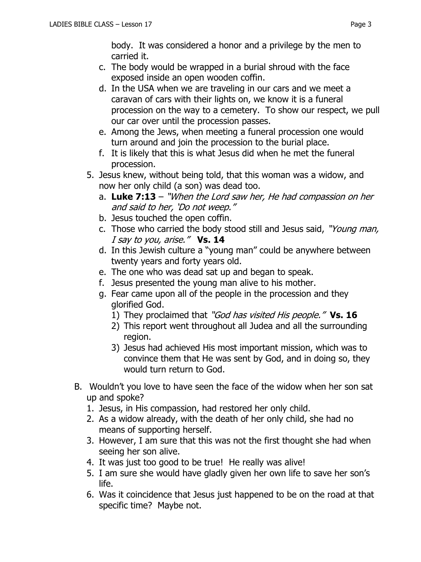body. It was considered a honor and a privilege by the men to carried it.

- c. The body would be wrapped in a burial shroud with the face exposed inside an open wooden coffin.
- d. In the USA when we are traveling in our cars and we meet a caravan of cars with their lights on, we know it is a funeral procession on the way to a cemetery. To show our respect, we pull our car over until the procession passes.
- e. Among the Jews, when meeting a funeral procession one would turn around and join the procession to the burial place.
- f. It is likely that this is what Jesus did when he met the funeral procession.
- 5. Jesus knew, without being told, that this woman was a widow, and now her only child (a son) was dead too.
	- a. **Luke 7:13** "When the Lord saw her, He had compassion on her and said to her, 'Do not weep."
	- b. Jesus touched the open coffin.
	- c. Those who carried the body stood still and Jesus said, "Young man, I say to you, arise." **Vs. 14**
	- d. In this Jewish culture a "young man" could be anywhere between twenty years and forty years old.
	- e. The one who was dead sat up and began to speak.
	- f. Jesus presented the young man alive to his mother.
	- g. Fear came upon all of the people in the procession and they glorified God.
		- 1) They proclaimed that "God has visited His people." **Vs. 16**
		- 2) This report went throughout all Judea and all the surrounding region.
		- 3) Jesus had achieved His most important mission, which was to convince them that He was sent by God, and in doing so, they would turn return to God.
- B. Wouldn't you love to have seen the face of the widow when her son sat up and spoke?
	- 1. Jesus, in His compassion, had restored her only child.
	- 2. As a widow already, with the death of her only child, she had no means of supporting herself.
	- 3. However, I am sure that this was not the first thought she had when seeing her son alive.
	- 4. It was just too good to be true! He really was alive!
	- 5. I am sure she would have gladly given her own life to save her son's life.
	- 6. Was it coincidence that Jesus just happened to be on the road at that specific time? Maybe not.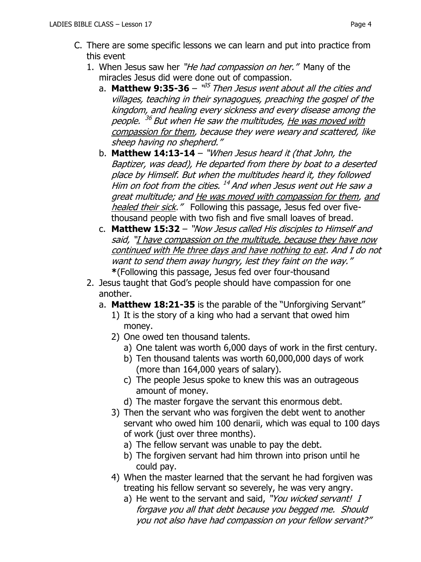- C. There are some specific lessons we can learn and put into practice from this event
	- 1. When Jesus saw her "He had compassion on her." Many of the miracles Jesus did were done out of compassion.
		- a. **Matthew 9:35-36** '<sup>35</sup> Then Jesus went about all the cities and villages, teaching in their synagogues, preaching the gospel of the kingdom, and healing every sickness and every disease among the people. <sup>36</sup> But when He saw the multitudes, <u>He was moved with</u> compassion for them, because they were weary and scattered, like sheep having no shepherd."
		- b. **Matthew 14:13-14** "When Jesus heard it (that John, the Baptizer, was dead), He departed from there by boat to a deserted place by Himself. But when the multitudes heard it, they followed Him on foot from the cities. <sup>14</sup> And when Jesus went out He saw a great multitude; and He was moved with compassion for them, and healed their sick." Following this passage, Jesus fed over fivethousand people with two fish and five small loaves of bread.
		- c. **Matthew 15:32** "Now Jesus called His disciples to Himself and said, "I have compassion on the multitude, because they have now continued with Me three days and have nothing to eat. And I do not want to send them away hungry, lest they faint on the way." **\***(Following this passage, Jesus fed over four-thousand
	- 2. Jesus taught that God's people should have compassion for one another.
		- a. **Matthew 18:21-35** is the parable of the "Unforgiving Servant"
			- 1) It is the story of a king who had a servant that owed him money.
			- 2) One owed ten thousand talents.
				- a) One talent was worth 6,000 days of work in the first century.
				- b) Ten thousand talents was worth 60,000,000 days of work (more than 164,000 years of salary).
				- c) The people Jesus spoke to knew this was an outrageous amount of money.
				- d) The master forgave the servant this enormous debt.
			- 3) Then the servant who was forgiven the debt went to another servant who owed him 100 denarii, which was equal to 100 days of work (just over three months).
				- a) The fellow servant was unable to pay the debt.
				- b) The forgiven servant had him thrown into prison until he could pay.
			- 4) When the master learned that the servant he had forgiven was treating his fellow servant so severely, he was very angry.
				- a) He went to the servant and said, "You wicked servant! I forgave you all that debt because you begged me. Should you not also have had compassion on your fellow servant?"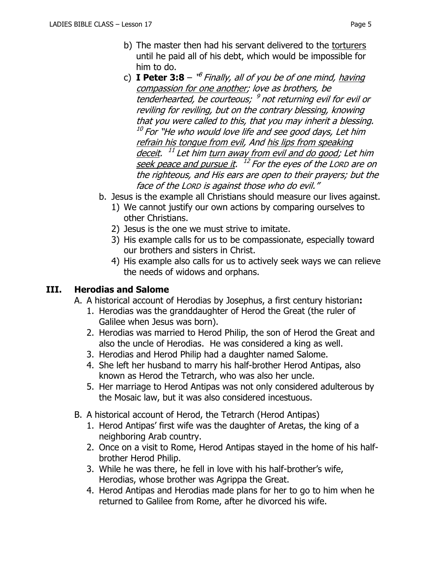- c) **I Peter 3:8**  $^{\circ}$  Finally, all of you be of one mind, having compassion for one another; love as brothers, be tenderhearted, be courteous; <sup>9</sup> not returning evil for evil or reviling for reviling, but on the contrary blessing, knowing that you were called to this, that you may inherit a blessing.  $^\mathrm{10}$  For "He who would love life and see good days, Let him refrain his tongue from evil, And his lips from speaking <u>deceit</u>. <sup>11</sup> Let him <u>turn away from evil and do good</u>; Let him <u>seek peace and pursue it</u>.  $\ ^{12}$  For the eyes of the Lorp are on the righteous, and His ears are open to their prayers; but the face of the LORD is against those who do evil."
- b. Jesus is the example all Christians should measure our lives against.
	- 1) We cannot justify our own actions by comparing ourselves to other Christians.
	- 2) Jesus is the one we must strive to imitate.
	- 3) His example calls for us to be compassionate, especially toward our brothers and sisters in Christ.
	- 4) His example also calls for us to actively seek ways we can relieve the needs of widows and orphans.

## **III. Herodias and Salome**

- A. A historical account of Herodias by Josephus, a first century historian**:**
	- 1. Herodias was the granddaughter of Herod the Great (the ruler of Galilee when Jesus was born).
	- 2. Herodias was married to Herod Philip, the son of Herod the Great and also the uncle of Herodias. He was considered a king as well.
	- 3. Herodias and Herod Philip had a daughter named Salome.
	- 4. She left her husband to marry his half-brother Herod Antipas, also known as Herod the Tetrarch, who was also her uncle.
	- 5. Her marriage to Herod Antipas was not only considered adulterous by the Mosaic law, but it was also considered incestuous.
- B. A historical account of Herod, the Tetrarch (Herod Antipas)
	- 1. Herod Antipas' first wife was the daughter of Aretas, the king of a neighboring Arab country.
	- 2. Once on a visit to Rome, Herod Antipas stayed in the home of his halfbrother Herod Philip.
	- 3. While he was there, he fell in love with his half-brother's wife, Herodias, whose brother was Agrippa the Great.
	- 4. Herod Antipas and Herodias made plans for her to go to him when he returned to Galilee from Rome, after he divorced his wife.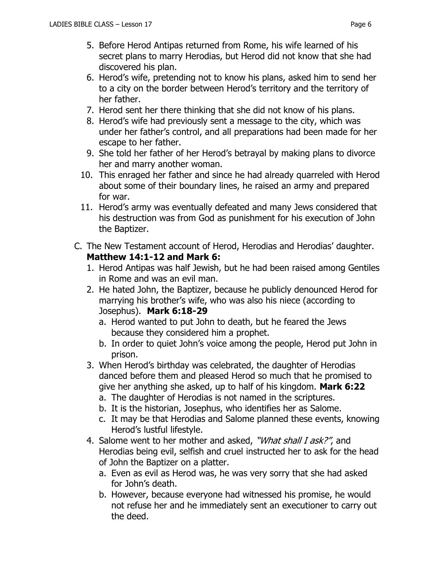- 6. Herod's wife, pretending not to know his plans, asked him to send her to a city on the border between Herod's territory and the territory of her father.
- 7. Herod sent her there thinking that she did not know of his plans.
- 8. Herod's wife had previously sent a message to the city, which was under her father's control, and all preparations had been made for her escape to her father.
- 9. She told her father of her Herod's betrayal by making plans to divorce her and marry another woman.
- 10. This enraged her father and since he had already quarreled with Herod about some of their boundary lines, he raised an army and prepared for war.
- 11. Herod's army was eventually defeated and many Jews considered that his destruction was from God as punishment for his execution of John the Baptizer.
- C. The New Testament account of Herod, Herodias and Herodias' daughter. **Matthew 14:1-12 and Mark 6:**
	- 1. Herod Antipas was half Jewish, but he had been raised among Gentiles in Rome and was an evil man.
	- 2. He hated John, the Baptizer, because he publicly denounced Herod for marrying his brother's wife, who was also his niece (according to Josephus). **Mark 6:18-29**
		- a. Herod wanted to put John to death, but he feared the Jews because they considered him a prophet.
		- b. In order to quiet John's voice among the people, Herod put John in prison.
	- 3. When Herod's birthday was celebrated, the daughter of Herodias danced before them and pleased Herod so much that he promised to give her anything she asked, up to half of his kingdom. **Mark 6:22**
		- a. The daughter of Herodias is not named in the scriptures.
		- b. It is the historian, Josephus, who identifies her as Salome.
		- c. It may be that Herodias and Salome planned these events, knowing Herod's lustful lifestyle.
	- 4. Salome went to her mother and asked, "What shall I ask?", and Herodias being evil, selfish and cruel instructed her to ask for the head of John the Baptizer on a platter.
		- a. Even as evil as Herod was, he was very sorry that she had asked for John's death.
		- b. However, because everyone had witnessed his promise, he would not refuse her and he immediately sent an executioner to carry out the deed.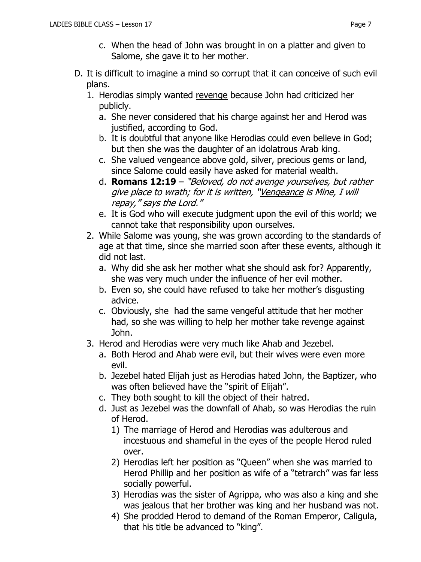- c. When the head of John was brought in on a platter and given to Salome, she gave it to her mother.
- D. It is difficult to imagine a mind so corrupt that it can conceive of such evil plans.
	- 1. Herodias simply wanted revenge because John had criticized her publicly.
		- a. She never considered that his charge against her and Herod was justified, according to God.
		- b. It is doubtful that anyone like Herodias could even believe in God; but then she was the daughter of an idolatrous Arab king.
		- c. She valued vengeance above gold, silver, precious gems or land, since Salome could easily have asked for material wealth.
		- d. **Romans 12:19**  "Beloved, do not avenge yourselves, but rather give place to wrath; for it is written, "Vengeance is Mine, I will repay," says the Lord."
		- e. It is God who will execute judgment upon the evil of this world; we cannot take that responsibility upon ourselves.
	- 2. While Salome was young, she was grown according to the standards of age at that time, since she married soon after these events, although it did not last.
		- a. Why did she ask her mother what she should ask for? Apparently, she was very much under the influence of her evil mother.
		- b. Even so, she could have refused to take her mother's disgusting advice.
		- c. Obviously, she had the same vengeful attitude that her mother had, so she was willing to help her mother take revenge against John.
	- 3. Herod and Herodias were very much like Ahab and Jezebel.
		- a. Both Herod and Ahab were evil, but their wives were even more evil.
		- b. Jezebel hated Elijah just as Herodias hated John, the Baptizer, who was often believed have the "spirit of Elijah".
		- c. They both sought to kill the object of their hatred.
		- d. Just as Jezebel was the downfall of Ahab, so was Herodias the ruin of Herod.
			- 1) The marriage of Herod and Herodias was adulterous and incestuous and shameful in the eyes of the people Herod ruled over.
			- 2) Herodias left her position as "Queen" when she was married to Herod Phillip and her position as wife of a "tetrarch" was far less socially powerful.
			- 3) Herodias was the sister of Agrippa, who was also a king and she was jealous that her brother was king and her husband was not.
			- 4) She prodded Herod to demand of the Roman Emperor, Caligula, that his title be advanced to "king".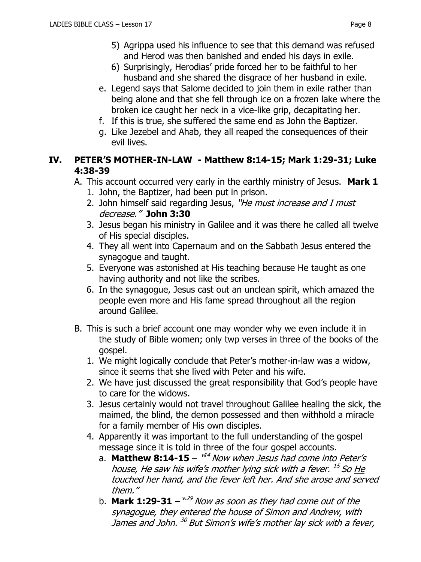- 5) Agrippa used his influence to see that this demand was refused and Herod was then banished and ended his days in exile.
- 6) Surprisingly, Herodias' pride forced her to be faithful to her husband and she shared the disgrace of her husband in exile.
- e. Legend says that Salome decided to join them in exile rather than being alone and that she fell through ice on a frozen lake where the broken ice caught her neck in a vice-like grip, decapitating her.
- f. If this is true, she suffered the same end as John the Baptizer.
- g. Like Jezebel and Ahab, they all reaped the consequences of their evil lives.

#### **IV. PETER'S MOTHER-IN-LAW - Matthew 8:14-15; Mark 1:29-31; Luke 4:38-39**

- A. This account occurred very early in the earthly ministry of Jesus. **Mark 1**
	- 1. John, the Baptizer, had been put in prison.
	- 2. John himself said regarding Jesus, "He must increase and I must decrease." **John 3:30**
	- 3. Jesus began his ministry in Galilee and it was there he called all twelve of His special disciples.
	- 4. They all went into Capernaum and on the Sabbath Jesus entered the synagogue and taught.
	- 5. Everyone was astonished at His teaching because He taught as one having authority and not like the scribes.
	- 6. In the synagogue, Jesus cast out an unclean spirit, which amazed the people even more and His fame spread throughout all the region around Galilee.
- B. This is such a brief account one may wonder why we even include it in the study of Bible women; only twp verses in three of the books of the gospel.
	- 1. We might logically conclude that Peter's mother-in-law was a widow, since it seems that she lived with Peter and his wife.
	- 2. We have just discussed the great responsibility that God's people have to care for the widows.
	- 3. Jesus certainly would not travel throughout Galilee healing the sick, the maimed, the blind, the demon possessed and then withhold a miracle for a family member of His own disciples.
	- 4. Apparently it was important to the full understanding of the gospel message since it is told in three of the four gospel accounts.
		- a. **Matthew 8:14-15** "<sup>14</sup> Now when Jesus had come into Peter's house, He saw his wife's mother lying sick with a fever. <sup>15</sup> So <u>He</u> touched her hand, and the fever left her. And she arose and served them."
		- b. **Mark 1:29-31**  $^{\backprime\prime\prime\prime}$  Now as soon as they had come out of the synagogue, they entered the house of Simon and Andrew, with James and John. <sup>30</sup> But Simon's wife's mother lay sick with a fever,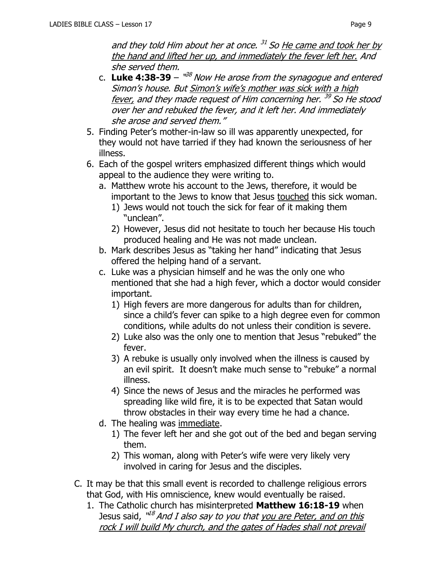and they told Him about her at once. <sup>31</sup> So <u>He came and took her by</u> the hand and lifted her up, and immediately the fever left her. And she served them.

- c. Luke 4:38-39  $\frac{108}{3}$  Now He arose from the synagogue and entered Simon's house. But Simon's wife's mother was sick with a high fever, and they made request of Him concerning her. <sup>39</sup> So He stood over her and rebuked the fever, and it left her. And immediately she arose and served them."
- 5. Finding Peter's mother-in-law so ill was apparently unexpected, for they would not have tarried if they had known the seriousness of her illness.
- 6. Each of the gospel writers emphasized different things which would appeal to the audience they were writing to.
	- a. Matthew wrote his account to the Jews, therefore, it would be important to the Jews to know that Jesus touched this sick woman.
		- 1) Jews would not touch the sick for fear of it making them "unclean".
		- 2) However, Jesus did not hesitate to touch her because His touch produced healing and He was not made unclean.
	- b. Mark describes Jesus as "taking her hand" indicating that Jesus offered the helping hand of a servant.
	- c. Luke was a physician himself and he was the only one who mentioned that she had a high fever, which a doctor would consider important.
		- 1) High fevers are more dangerous for adults than for children, since a child's fever can spike to a high degree even for common conditions, while adults do not unless their condition is severe.
		- 2) Luke also was the only one to mention that Jesus "rebuked" the fever.
		- 3) A rebuke is usually only involved when the illness is caused by an evil spirit. It doesn't make much sense to "rebuke" a normal illness.
		- 4) Since the news of Jesus and the miracles he performed was spreading like wild fire, it is to be expected that Satan would throw obstacles in their way every time he had a chance.
	- d. The healing was immediate.
		- 1) The fever left her and she got out of the bed and began serving them.
		- 2) This woman, along with Peter's wife were very likely very involved in caring for Jesus and the disciples.
- C. It may be that this small event is recorded to challenge religious errors that God, with His omniscience, knew would eventually be raised.
	- 1. The Catholic church has misinterpreted **Matthew 16:18-19** when Jesus said, <sup>ut8</sup> And I also say to you that <u>you are Peter, and on this</u> rock I will build My church, and the gates of Hades shall not prevail